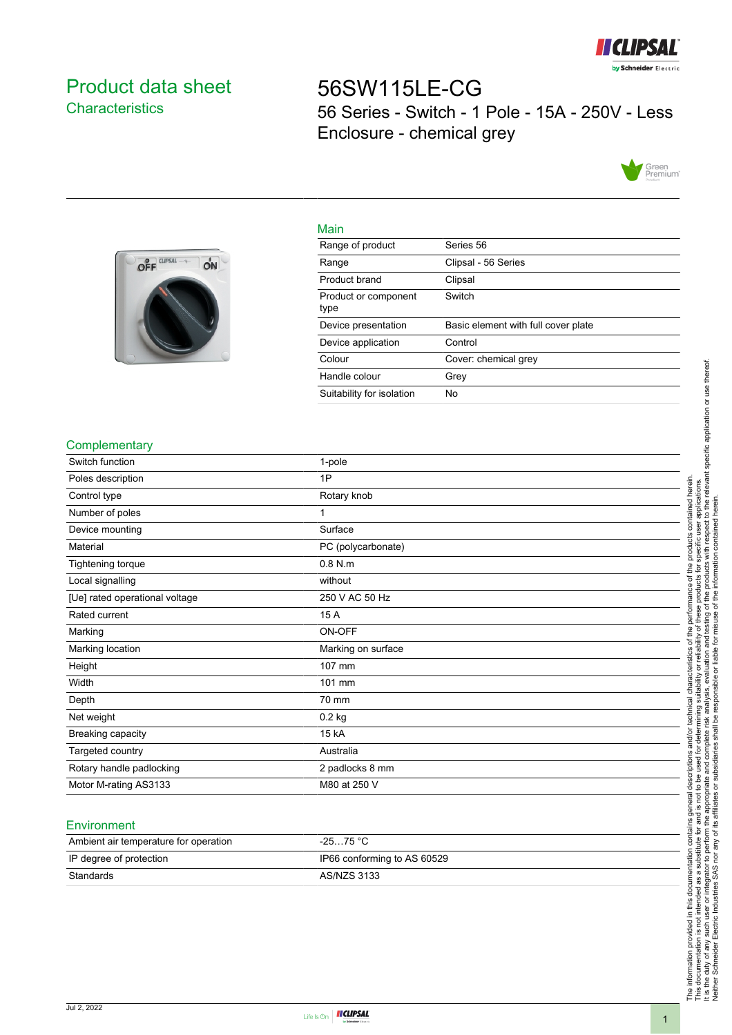

# <span id="page-0-0"></span>Product data sheet **Characteristics**

# 56SW115LE-CG 56 Series - Switch - 1 Pole - 15A - 250V - Less Enclosure - chemical grey





| Main                         |                                     |
|------------------------------|-------------------------------------|
| Range of product             | Series 56                           |
| Range                        | Clipsal - 56 Series                 |
| Product brand                | Clipsal                             |
| Product or component<br>type | Switch                              |
| Device presentation          | Basic element with full cover plate |
| Device application           | Control                             |
| Colour                       | Cover: chemical grey                |
| Handle colour                | Grey                                |
| Suitability for isolation    | No                                  |

### **Complementary**

| Switch function                | 1-pole             |
|--------------------------------|--------------------|
| Poles description              | 1P                 |
| Control type                   | Rotary knob        |
| Number of poles                |                    |
| Device mounting                | Surface            |
| Material                       | PC (polycarbonate) |
| Tightening torque              | $0.8$ N.m          |
| Local signalling               | without            |
| [Ue] rated operational voltage | 250 V AC 50 Hz     |
| Rated current                  | 15 A               |
| Marking                        | ON-OFF             |
| Marking location               | Marking on surface |
| Height                         | 107 mm             |
| Width                          | 101 mm             |
| Depth                          | 70 mm              |
| Net weight                     | $0.2$ kg           |
| Breaking capacity              | 15 kA              |
| Targeted country               | Australia          |
| Rotary handle padlocking       | 2 padlocks 8 mm    |
| Motor M-rating AS3133          | M80 at 250 V       |

#### **Environment**

| Ambient air temperature for operation | $-2575 °C$                  |
|---------------------------------------|-----------------------------|
| IP degree of protection               | IP66 conforming to AS 60529 |
| Standards                             | AS/NZS 3133                 |